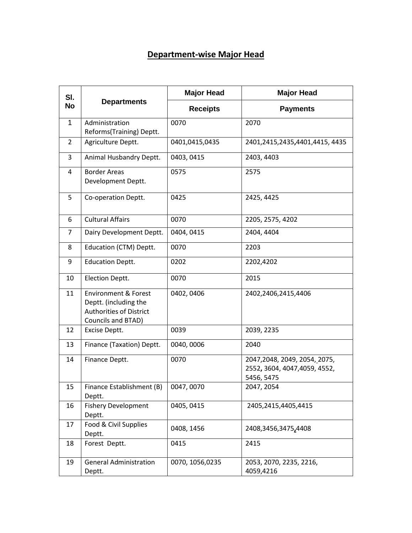## **Department-wise Major Head**

| SI.<br><b>No</b> | <b>Departments</b>                                                                                               | <b>Major Head</b> | <b>Major Head</b>                                                            |
|------------------|------------------------------------------------------------------------------------------------------------------|-------------------|------------------------------------------------------------------------------|
|                  |                                                                                                                  | <b>Receipts</b>   | <b>Payments</b>                                                              |
| $\mathbf{1}$     | Administration<br>Reforms(Training) Deptt.                                                                       | 0070              | 2070                                                                         |
| 2                | Agriculture Deptt.                                                                                               | 0401,0415,0435    | 2401,2415,2435,4401,4415,4435                                                |
| 3                | Animal Husbandry Deptt.                                                                                          | 0403, 0415        | 2403, 4403                                                                   |
| 4                | <b>Border Areas</b><br>Development Deptt.                                                                        | 0575              | 2575                                                                         |
| 5                | Co-operation Deptt.                                                                                              | 0425              | 2425, 4425                                                                   |
| 6                | <b>Cultural Affairs</b>                                                                                          | 0070              | 2205, 2575, 4202                                                             |
| 7                | Dairy Development Deptt.                                                                                         | 0404, 0415        | 2404, 4404                                                                   |
| 8                | Education (CTM) Deptt.                                                                                           | 0070              | 2203                                                                         |
| 9                | <b>Education Deptt.</b>                                                                                          | 0202              | 2202,4202                                                                    |
| 10               | Election Deptt.                                                                                                  | 0070              | 2015                                                                         |
| 11               | <b>Environment &amp; Forest</b><br>Deptt. (including the<br><b>Authorities of District</b><br>Councils and BTAD) | 0402, 0406        | 2402,2406,2415,4406                                                          |
| 12               | Excise Deptt.                                                                                                    | 0039              | 2039, 2235                                                                   |
| 13               | Finance (Taxation) Deptt.                                                                                        | 0040,0006         | 2040                                                                         |
| 14               | Finance Deptt.                                                                                                   | 0070              | 2047, 2048, 2049, 2054, 2075,<br>2552, 3604, 4047, 4059, 4552,<br>5456, 5475 |
| 15               | Finance Establishment (B)<br>Deptt.                                                                              | 0047,0070         | 2047, 2054                                                                   |
| 16               | <b>Fishery Development</b><br>Deptt.                                                                             | 0405, 0415        | 2405,2415,4405,4415                                                          |
| 17               | Food & Civil Supplies<br>Deptt.                                                                                  | 0408, 1456        | 2408,3456,3475,4408                                                          |
| 18               | Forest Deptt.                                                                                                    | 0415              | 2415                                                                         |
| 19               | <b>General Administration</b><br>Deptt.                                                                          | 0070, 1056, 0235  | 2053, 2070, 2235, 2216,<br>4059,4216                                         |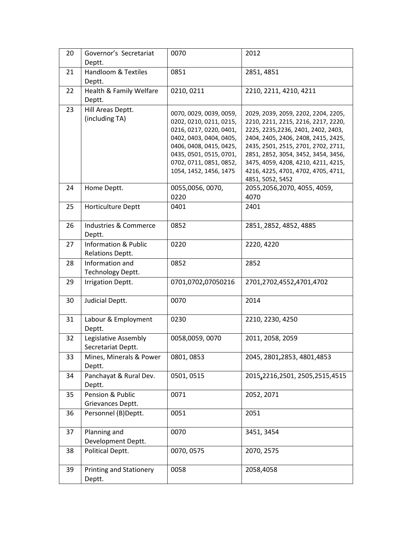| 20 | Governor's Secretariat<br>Deptt.                    | 0070                                                                                                                                                                                                                | 2012                                                                                                                                                                                                                                                                                                                                     |
|----|-----------------------------------------------------|---------------------------------------------------------------------------------------------------------------------------------------------------------------------------------------------------------------------|------------------------------------------------------------------------------------------------------------------------------------------------------------------------------------------------------------------------------------------------------------------------------------------------------------------------------------------|
| 21 | Handloom & Textiles<br>Deptt.                       | 0851                                                                                                                                                                                                                | 2851, 4851                                                                                                                                                                                                                                                                                                                               |
| 22 | Health & Family Welfare<br>Deptt.                   | 0210, 0211                                                                                                                                                                                                          | 2210, 2211, 4210, 4211                                                                                                                                                                                                                                                                                                                   |
| 23 | Hill Areas Deptt.<br>(including TA)                 | 0070, 0029, 0039, 0059,<br>0202, 0210, 0211, 0215,<br>0216, 0217, 0220, 0401,<br>0402, 0403, 0404, 0405,<br>0406, 0408, 0415, 0425,<br>0435, 0501, 0515, 0701,<br>0702, 0711, 0851, 0852,<br>1054, 1452, 1456, 1475 | 2029, 2039, 2059, 2202, 2204, 2205,<br>2210, 2211, 2215, 2216, 2217, 2220,<br>2225, 2235, 2236, 2401, 2402, 2403,<br>2404, 2405, 2406, 2408, 2415, 2425,<br>2435, 2501, 2515, 2701, 2702, 2711,<br>2851, 2852, 3054, 3452, 3454, 3456,<br>3475, 4059, 4208, 4210, 4211, 4215,<br>4216, 4225, 4701, 4702, 4705, 4711,<br>4851, 5052, 5452 |
| 24 | Home Deptt.                                         | 0055,0056,0070,<br>0220                                                                                                                                                                                             | 2055, 2056, 2070, 4055, 4059,<br>4070                                                                                                                                                                                                                                                                                                    |
| 25 | Horticulture Deptt                                  | 0401                                                                                                                                                                                                                | 2401                                                                                                                                                                                                                                                                                                                                     |
| 26 | <b>Industries &amp; Commerce</b><br>Deptt.          | 0852                                                                                                                                                                                                                | 2851, 2852, 4852, 4885                                                                                                                                                                                                                                                                                                                   |
| 27 | <b>Information &amp; Public</b><br>Relations Deptt. | 0220                                                                                                                                                                                                                | 2220, 4220                                                                                                                                                                                                                                                                                                                               |
| 28 | Information and<br>Technology Deptt.                | 0852                                                                                                                                                                                                                | 2852                                                                                                                                                                                                                                                                                                                                     |
| 29 | <b>Irrigation Deptt.</b>                            | 0701,0702,07050216                                                                                                                                                                                                  | 2701,2702,4552,4701,4702                                                                                                                                                                                                                                                                                                                 |
| 30 | Judicial Deptt.                                     | 0070                                                                                                                                                                                                                | 2014                                                                                                                                                                                                                                                                                                                                     |
| 31 | Labour & Employment<br>Deptt.                       | 0230                                                                                                                                                                                                                | 2210, 2230, 4250                                                                                                                                                                                                                                                                                                                         |
| 32 | Legislative Assembly<br>Secretariat Deptt.          | 0058,0059,0070                                                                                                                                                                                                      | 2011, 2058, 2059                                                                                                                                                                                                                                                                                                                         |
| 33 | Mines, Minerals & Power<br>Deptt.                   | 0801, 0853                                                                                                                                                                                                          | 2045, 2801, 2853, 4801, 4853                                                                                                                                                                                                                                                                                                             |
| 34 | Panchayat & Rural Dev.<br>Deptt.                    | 0501, 0515                                                                                                                                                                                                          | 2015, 2216, 2501, 2505, 2515, 4515                                                                                                                                                                                                                                                                                                       |
| 35 | Pension & Public<br>Grievances Deptt.               | 0071                                                                                                                                                                                                                | 2052, 2071                                                                                                                                                                                                                                                                                                                               |
| 36 | Personnel (B)Deptt.                                 | 0051                                                                                                                                                                                                                | 2051                                                                                                                                                                                                                                                                                                                                     |
| 37 | Planning and<br>Development Deptt.                  | 0070                                                                                                                                                                                                                | 3451, 3454                                                                                                                                                                                                                                                                                                                               |
| 38 | Political Deptt.                                    | 0070, 0575                                                                                                                                                                                                          | 2070, 2575                                                                                                                                                                                                                                                                                                                               |
| 39 | <b>Printing and Stationery</b><br>Deptt.            | 0058                                                                                                                                                                                                                | 2058,4058                                                                                                                                                                                                                                                                                                                                |